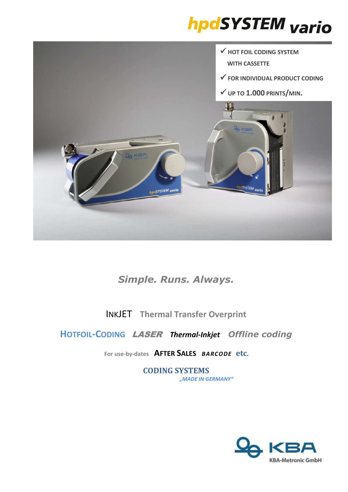# **hpdSYSTEM** vario



# *Simple. Runs. Always.*

INKJET **Thermal Transfer Overprint**

## **HOTFOIL-CODING** LASER *Thermal-Inkjet**Offline coding*

**For use-by-dates AFTER SALES** *BARCODE* **etc.** 

**CODING SYSTEMS** *"MADE IN GERMANY"*